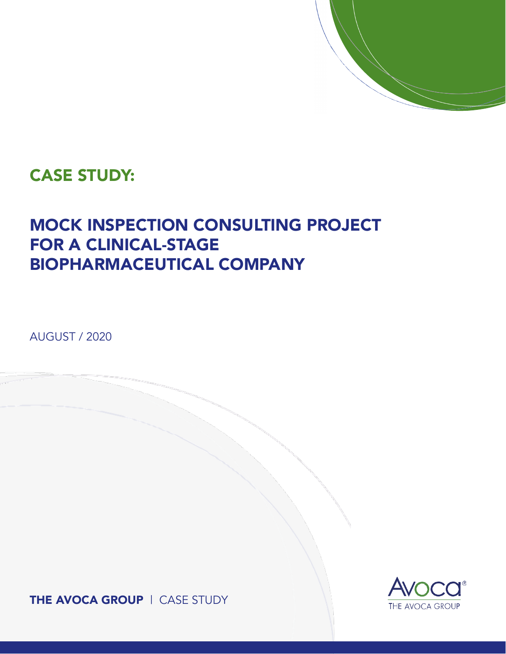### CASE STUDY:

## MOCK INSPECTION CONSULTING PROJECT FOR A CLINICAL-STAGE BIOPHARMACEUTICAL COMPANY

AUGUST / 2020

THE AVOCA GROUP | CASE STUDY

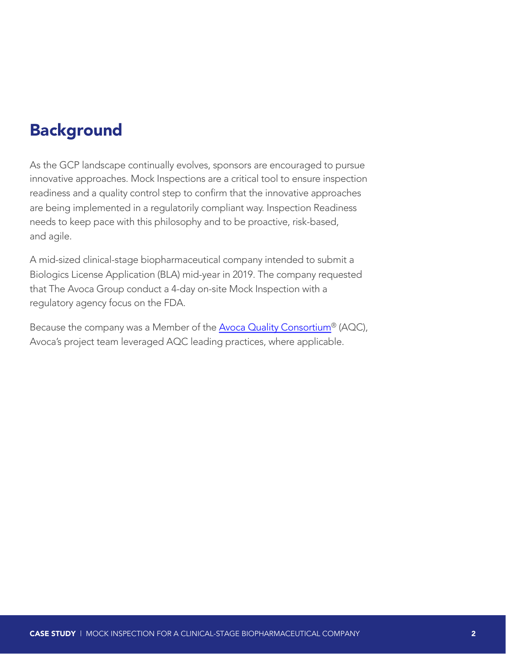### Background

As the GCP landscape continually evolves, sponsors are encouraged to pursue innovative approaches. Mock Inspections are a critical tool to ensure inspection readiness and a quality control step to confirm that the innovative approaches are being implemented in a regulatorily compliant way. Inspection Readiness needs to keep pace with this philosophy and to be proactive, risk-based, and agile.

A mid-sized clinical-stage biopharmaceutical company intended to submit a Biologics License Application (BLA) mid-year in 2019. The company requested that The Avoca Group conduct a 4-day on-site Mock Inspection with a regulatory agency focus on the FDA.

Because the company was a Member of the [Avoca Quality Consortium®](https://www.theavocagroup.com/quality-consortium/) (AQC), Avoca's project team leveraged AQC leading practices, where applicable.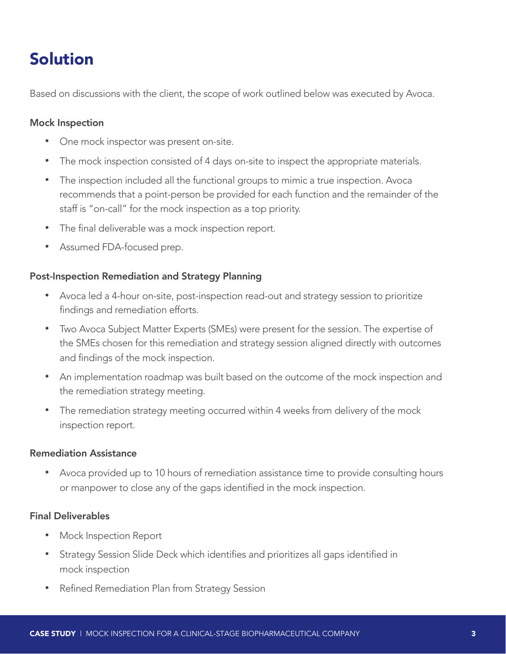## Solution

Based on discussions with the client, the scope of work outlined below was executed by Avoca.

#### Mock Inspection

- One mock inspector was present on-site.
- The mock inspection consisted of 4 days on-site to inspect the appropriate materials.
- The inspection included all the functional groups to mimic a true inspection. Avoca recommends that a point-person be provided for each function and the remainder of the staff is "on-call" for the mock inspection as a top priority.
- The final deliverable was a mock inspection report.
- Assumed FDA-focused prep.

#### Post-Inspection Remediation and Strategy Planning

- Avoca led a 4-hour on-site, post-inspection read-out and strategy session to prioritize findings and remediation efforts.
- Two Avoca Subject Matter Experts (SMEs) were present for the session. The expertise of the SMEs chosen for this remediation and strategy session aligned directly with outcomes and findings of the mock inspection.
- An implementation roadmap was built based on the outcome of the mock inspection and the remediation strategy meeting.
- The remediation strategy meeting occurred within 4 weeks from delivery of the mock inspection report.

#### Remediation Assistance

• Avoca provided up to 10 hours of remediation assistance time to provide consulting hours or manpower to close any of the gaps identified in the mock inspection.

#### Final Deliverables

- Mock Inspection Report
- Strategy Session Slide Deck which identifies and prioritizes all gaps identified in mock inspection
- Refined Remediation Plan from Strategy Session